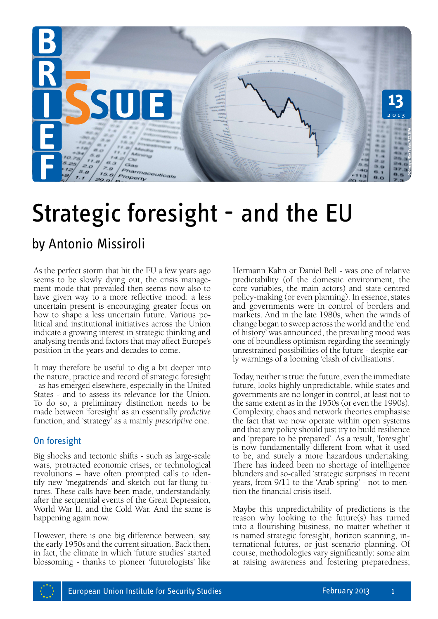

# Strategic foresight - and the EU

# by Antonio Missiroli

As the perfect storm that hit the EU a few years ago seems to be slowly dying out, the crisis management mode that prevailed then seems now also to have given way to a more reflective mood: a less uncertain present is encouraging greater focus on how to shape a less uncertain future. Various political and institutional initiatives across the Union indicate a growing interest in strategic thinking and analysing trends and factors that may affect Europe's position in the years and decades to come.

It may therefore be useful to dig a bit deeper into the nature, practice and record of strategic foresight - as has emerged elsewhere, especially in the United States - and to assess its relevance for the Union. To do so, a preliminary distinction needs to be made between 'foresight' as an essentially *predictive* function, and 'strategy' as a mainly *prescriptive* one.

## On foresight

Big shocks and tectonic shifts - such as large-scale wars, protracted economic crises, or technological revolutions – have often prompted calls to identify new 'megatrends' and sketch out far-flung futures. These calls have been made, understandably, after the sequential events of the Great Depression, World War II, and the Cold War. And the same is happening again now.

However, there is one big difference between, say, the early 1950s and the current situation. Back then, in fact, the climate in which 'future studies' started blossoming - thanks to pioneer 'futurologists' like Hermann Kahn or Daniel Bell - was one of relative predictability (of the domestic environment, the core variables, the main actors) and state-centred policy-making (or even planning). In essence, states and governments were in control of borders and markets. And in the late 1980s, when the winds of change began to sweep across the world and the 'end of history' was announced, the prevailing mood was one of boundless optimism regarding the seemingly unrestrained possibilities of the future - despite early warnings of a looming 'clash of civilisations'.

Today, neither is true: the future, even the immediate future, looks highly unpredictable, while states and governments are no longer in control, at least not to the same extent as in the 1950s (or even the 1990s). Complexity, chaos and network theories emphasise the fact that we now operate within open systems and that any policy should just try to build resilience and 'prepare to be prepared'. As a result, 'foresight' is now fundamentally different from what it used to be, and surely a more hazardous undertaking. There has indeed been no shortage of intelligence blunders and so-called 'strategic surprises' in recent years, from 9/11 to the 'Arab spring' - not to mention the financial crisis itself.

Maybe this unpredictability of predictions is the reason why looking to the future(s) has turned into a flourishing business, no matter whether it is named strategic foresight, horizon scanning, international futures, or just scenario planning. Of course, methodologies vary significantly: some aim at raising awareness and fostering preparedness;

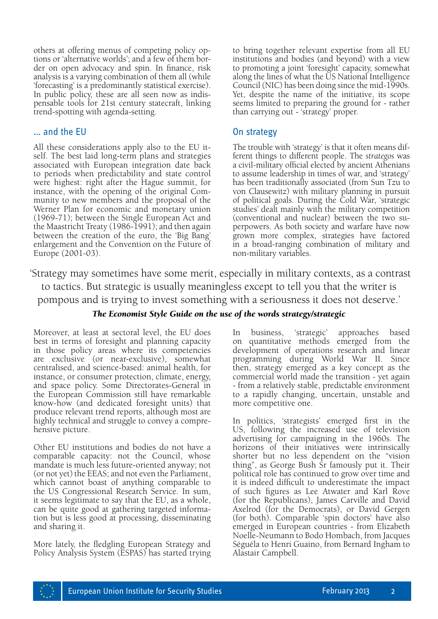others at offering menus of competing policy options or 'alternative worlds'; and a few of them border on open advocacy and spin. In finance, risk analysis is a varying combination of them all (while 'forecasting' is a predominantly statistical exercise). In public policy, these are all seen now as indis pensable tools for 21st century statecraft, linking trend-spotting with agenda-setting.

#### … and the EU

All these considerations apply also to the EU itself. The best laid long-term plans and strategies associated with European integration date back to periods when predictability and state control were highest: right after the Hague summit, for instance, with the opening of the original Community to new members and the proposal of the Werner Plan for economic and monetary union (1969-71); between the Single European Act and the Maastricht Treaty (1986-1991); and then again between the creation of the euro, the 'Big Bang' enlargement and the Convention on the Future of Europe (2001-03).

to bring together relevant expertise from all EU institutions and bodies (and beyond) with a view to promoting a joint 'foresight' capacity, somewhat along the lines of what the US National Intelligence Council (NIC) has been doing since the mid-1990s. Yet, despite the name of the initiative, its scope seems limited to preparing the ground for - rather than carrying out - 'strategy' proper.

#### On strategy

The trouble with 'strategy' is that it often means different things to different people. The *strategos* was a civil-military official elected by ancient Athenians to assume leadership in times of war, and 'strategy' has been traditionally associated (from Sun Tzu to von Clausewitz) with military planning in pursuit of political goals. During the Cold War, 'strategic studies' dealt mainly with the military competition (conventional and nuclear) between the two superpowers. As both society and warfare have now grown more complex, strategies have factored in a broad-ranging combination of military and non-military variables.

 'Strategy may sometimes have some merit, especially in military contexts, as a contrast to tactics. But strategic is usually meaningless except to tell you that the writer is pompous and is trying to invest something with a seriousness it does not deserve.'

#### *The Economist Style Guide on the use of the words strategy/strategic*

Moreover, at least at sectoral level, the EU does best in terms of foresight and planning capacity in those policy areas where its competencies are exclusive (or near-exclusive), somewhat centralised, and science-based: animal health, for instance, or consumer protection, climate, energy, and space policy. Some Directorates-General in the European Commission still have remarkable know-how (and dedicated foresight units) that produce relevant trend reports, although most are highly technical and struggle to convey a compre- hensive picture.

Other EU institutions and bodies do not have a comparable capacity: not the Council, whose mandate is much less future-oriented anyway; not (or not yet) the EEAS; and not even the Parliament, which cannot boast of anything comparable to the US Congressional Research Service. In sum, it seems legitimate to say that the EU, as a whole, can be quite good at gathering targeted information but is less good at processing, disseminating and sharing it.

More lately, the fledgling European Strategy and Policy Analysis System (ESPAS) has started trying In business, 'strategic' approaches based on quantitative methods emerged from the development of operations research and linear programming during World War II. Since then, strategy emerged as a key concept as the commercial world made the transition - yet again - from a relatively stable, predictable environment to a rapidly changing, uncertain, unstable and more competitive one.

In politics, 'strategists' emerged first in the US, following the increased use of television advertising for campaigning in the 1960s. The horizons of their initiatives were intrinsically shorter but no less dependent on the "vision thing", as George Bush Sr famously put it. Their political role has continued to grow over time and it is indeed difficult to underestimate the impact of such figures as Lee Atwater and Karl Rove (for the Republicans), James Carville and David Axelrod (for the Democrats), or David Gergen (for both). Comparable 'spin doctors' have also emerged in European countries - from Elizabeth Noelle-Neumann to Bodo Hombach, from Jacques Séguéla to Henri Guaino, from Bernard Ingham to Alastair Campbell.

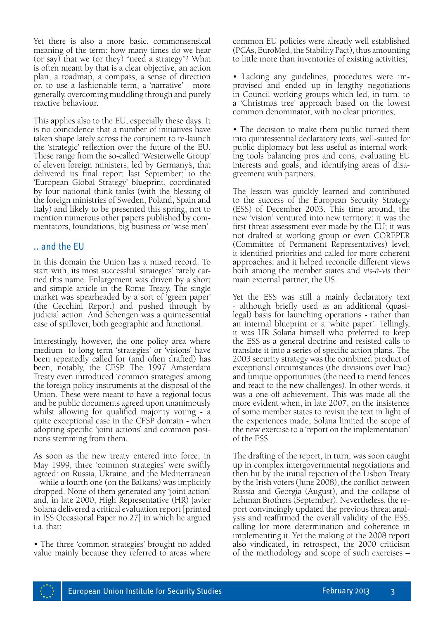Yet there is also a more basic, commonsensical meaning of the term: how many times do we hear (or say) that we (or they) "need a strategy"? What is often meant by that is a clear objective, an action plan, a roadmap, a compass, a sense of direction or, to use a fashionable term, a 'narrative' - more generally, overcoming muddling through and purely reactive behaviour.

This applies also to the EU, especially these days. It is no coincidence that a number of initiatives have taken shape lately across the continent to re-launch the 'strategic' reflection over the future of the EU. These range from the so-called 'Westerwelle Group' of eleven foreign ministers, led by Germany's, that delivered its final report last September; to the 'European Global Strategy' blueprint, coordinated by four national think tanks (with the blessing of the foreign ministries of Sweden, Poland, Spain and Italy) and likely to be presented this spring, not to mention numerous other papers published by commentators, foundations, big business or 'wise men'.

#### .. and the EU

In this domain the Union has a mixed record. To start with, its most successful 'strategies' rarely carried this name. Enlargement was driven by a short and simple article in the Rome Treaty. The single market was spearheaded by a sort of 'green paper' (the Cecchini Report) and pushed through by judicial action. And Schengen was a quintessential case of spillover, both geographic and functional.

Interestingly, however, the one policy area where medium- to long-term 'strategies' or 'visions' have been repeatedly called for (and often drafted) has been, notably, the CFSP. The 1997 Amsterdam Treaty even introduced 'common strategies' among the foreign policy instruments at the disposal of the Union. These were meant to have a regional focus and be public documents agreed upon unanimously whilst allowing for qualified majority voting - a quite exceptional case in the CFSP domain - when adopting specific 'joint actions' and common positions stemming from them.

As soon as the new treaty entered into force, in May 1999, three 'common strategies' were swiftly agreed: on Russia, Ukraine, and the Mediterranean – while a fourth one (on the Balkans) was implicitly dropped. None of them generated any 'joint action' and, in late 2000, High Representative (HR) Javier Solana delivered a critical evaluation report [printed in ISS Occasional Paper no.27] in which he argued i.a. that:

• The three 'common strategies' brought no added value mainly because they referred to areas where common EU policies were already well established (PCAs, EuroMed, the Stability Pact), thus amounting to little more than inventories of existing activities;

• Lacking any guidelines, procedures were improvised and ended up in lengthy negotiations in Council working groups which led, in turn, to a 'Christmas tree' approach based on the lowest common denominator, with no clear priorities;

• The decision to make them public turned them into quintessential declaratory texts, well-suited for public diplomacy but less useful as internal working tools balancing pros and cons, evaluating EU interests and goals, and identifying areas of disagreement with partners.

The lesson was quickly learned and contributed to the success of the European Security Strategy (ESS) of December 2003. This time around, the new 'vision' ventured into new territory: it was the first threat assessment ever made by the EU; it was not drafted at working group or even COREPER (Committee of Permanent Representatives) level; it identified priorities and called for more coherent approaches; and it helped reconcile different views both among the member states and *vis-à-vis* their main external partner, the US.

Yet the ESS was still a mainly declaratory text - although briefly used as an additional (quasilegal) basis for launching operations - rather than an internal blueprint or a 'white paper'. Tellingly, it was HR Solana himself who preferred to keep the ESS as a general doctrine and resisted calls to translate it into a series of specific action plans. The 2003 security strategy was the combined product of exceptional circumstances (the divisions over Iraq) and unique opportunities (the need to mend fences and react to the new challenges). In other words, it was a one-off achievement. This was made all the more evident when, in late 2007, on the insistence of some member states to revisit the text in light of the experiences made, Solana limited the scope of the new exercise to a 'report on the implementation' of the ESS.

The drafting of the report, in turn, was soon caught up in complex intergovernmental negotiations and then hit by the initial rejection of the Lisbon Treaty by the Irish voters (June 2008), the conflict between Russia and Georgia (August), and the collapse of Lehman Brothers (September). Nevertheless, the report convincingly updated the previous threat analysis and reaffirmed the overall validity of the ESS, calling for more determination and coherence in implementing it. Yet the making of the 2008 report also vindicated, in retrospect, the 2000 criticism of the methodology and scope of such exercises –